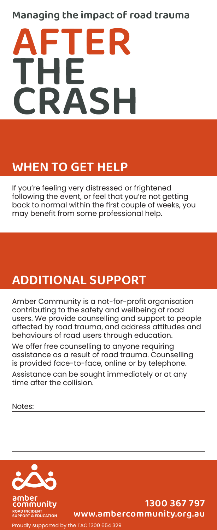## Managing the impact of road trauma



# WHEN TO GET HELP

If you're feeling very distressed or frightened following the event, or feel that you're not getting back to normal within the first couple of weeks, you may benefit from some professional help.

# ADDITIONAL SUPPORT

Amber Community is a not-for-profit organisation contributing to the safety and wellbeing of road users. We provide counselling and support to people affected by road trauma, and address attitudes and behaviours of road users through education.

We offer free counselling to anyone requiring assistance as a result of road trauma. Counselling is provided face-to-face, online or by telephone.

Assistance can be sought immediately or at any time after the collision.

Notes:



### 1300 367 797 www.ambercommunity.org.au

Proudly supported by the TAC 1300 654 329